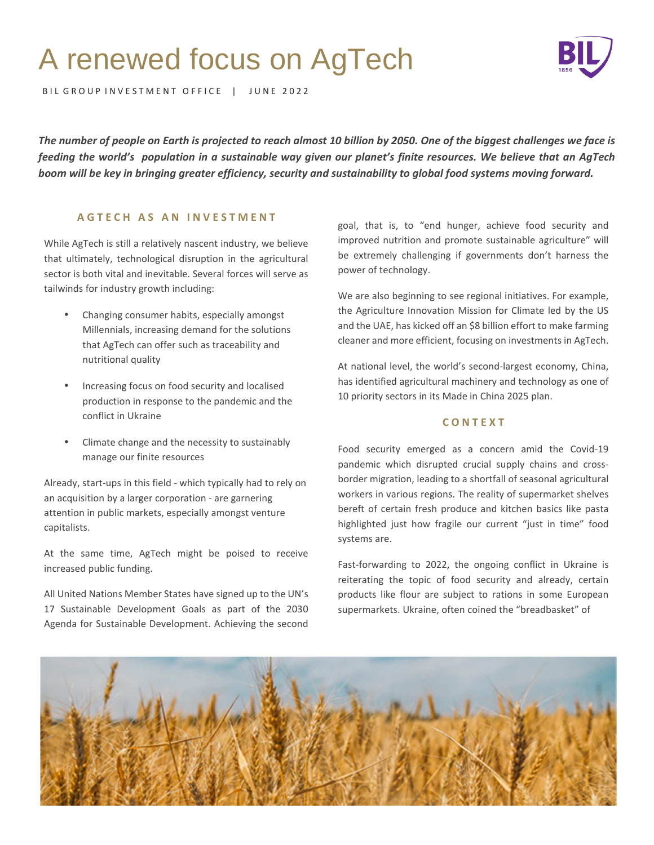# A renewed focus on AgTech



BIL GROUP INVESTMENT OFFICE | JUNE 2022

*The number of people on Earth is projected to reach almost 10 billion by 2050. One of the biggest challenges we face is feeding the world's population in a sustainable way given our planet's finite resources. We believe that an AgTech boom will be key in bringing greater efficiency, security and sustainability to global food systems moving forward.* 

# **A G T E C H A S A N I N V E S T M E N T**

While AgTech is still a relatively nascent industry, we believe that ultimately, technological disruption in the agricultural sector is both vital and inevitable. Several forces will serve as tailwinds for industry growth including:

- Changing consumer habits, especially amongst Millennials, increasing demand for the solutions that AgTech can offer such as traceability and nutritional quality
- Increasing focus on food security and localised production in response to the pandemic and the conflict in Ukraine
- Climate change and the necessity to sustainably manage our finite resources

Already, start-ups in this field - which typically had to rely on an acquisition by a larger corporation - are garnering attention in public markets, especially amongst venture capitalists.

At the same time, AgTech might be poised to receive increased public funding.

All United Nations Member States have signed up to the UN's 17 Sustainable Development Goals as part of the 2030 Agenda for Sustainable Development. Achieving the second

goal, that is, to "end hunger, achieve food security and improved nutrition and promote sustainable agriculture" will be extremely challenging if governments don't harness the power of technology.

We are also beginning to see regional initiatives. For example, the Agriculture Innovation Mission for Climate led by the US and the UAE, has kicked off an \$8 billion effort to make farming cleaner and more efficient, focusing on investments in AgTech.

At national level, the world's second-largest economy, China, has identified agricultural machinery and technology as one of 10 priority sectors in its Made in China 2025 plan.

# **C O N T E X T**

Food security emerged as a concern amid the Covid-19 pandemic which disrupted crucial supply chains and crossborder migration, leading to a shortfall of seasonal agricultural workers in various regions. The reality of supermarket shelves bereft of certain fresh produce and kitchen basics like pasta highlighted just how fragile our current "just in time" food systems are.

Fast-forwarding to 2022, the ongoing conflict in Ukraine is reiterating the topic of food security and already, certain products like flour are subject to rations in some European supermarkets. Ukraine, often coined the "breadbasket" of

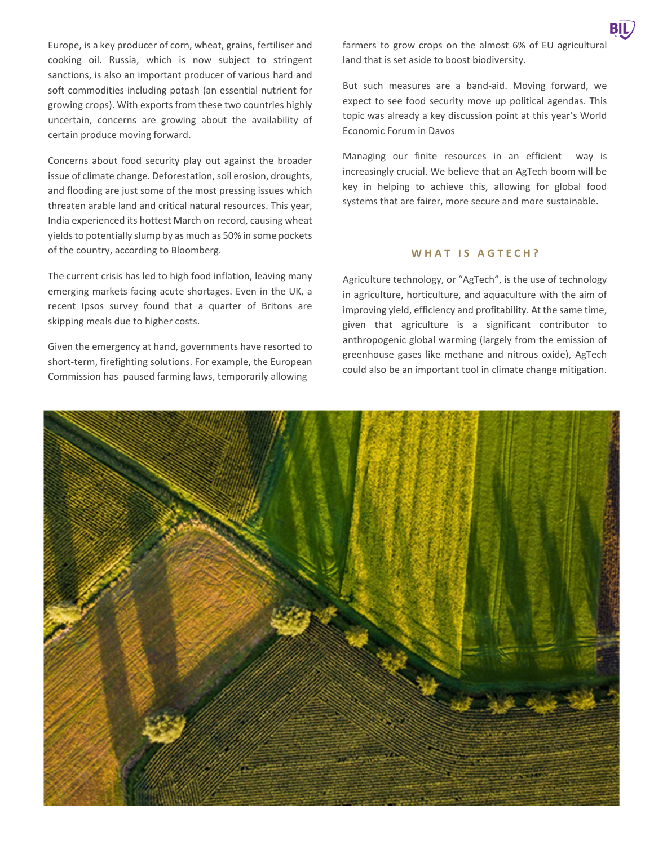Europe, is a key producer of corn, wheat, grains, fertiliser and cooking oil. Russia, which is now subject to stringent sanctions, is also an important producer of various hard and soft commodities including potash (an essential nutrient for growing crops). With exports from these two countries highly uncertain, concerns are growing about the availability of certain produce moving forward.

Concerns about food security play out against the broader issue of climate change. Deforestation, soil erosion, droughts, and flooding are just some of the most pressing issues which threaten arable land and critical natural resources. This year, India experienced its hottest March on record, causing wheat yields to potentially slump by as much as 50% in some pockets of the country, according to Bloomberg.

The current crisis has led to high food inflation, leaving many emerging markets facing acute shortages. Even in the UK, a recent Ipsos survey found that a quarter of Britons are skipping meals due to higher costs.

Given the emergency at hand, governments have resorted to short-term, firefighting solutions. For example, the European Commission has paused farming laws, temporarily allowing

farmers to grow crops on the almost 6% of EU agricultural land that is set aside to boost biodiversity.

But such measures are a band-aid. Moving forward, we expect to see food security move up political agendas. This topic was already a key discussion point at this year's World Economic Forum in Davos

Managing our finite resources in an efficient way is increasingly crucial. We believe that an AgTech boom will be key in helping to achieve this, allowing for global food systems that are fairer, more secure and more sustainable.

## WHAT IS AGTECH?

Agriculture technology, or "AgTech", is the use of technology in agriculture, horticulture, and aquaculture with the aim of improving yield, efficiency and profitability. At the same time, given that agriculture is a significant contributor to anthropogenic global warming (largely from the emission of greenhouse gases like methane and nitrous oxide), AgTech could also be an important tool in climate change mitigation.

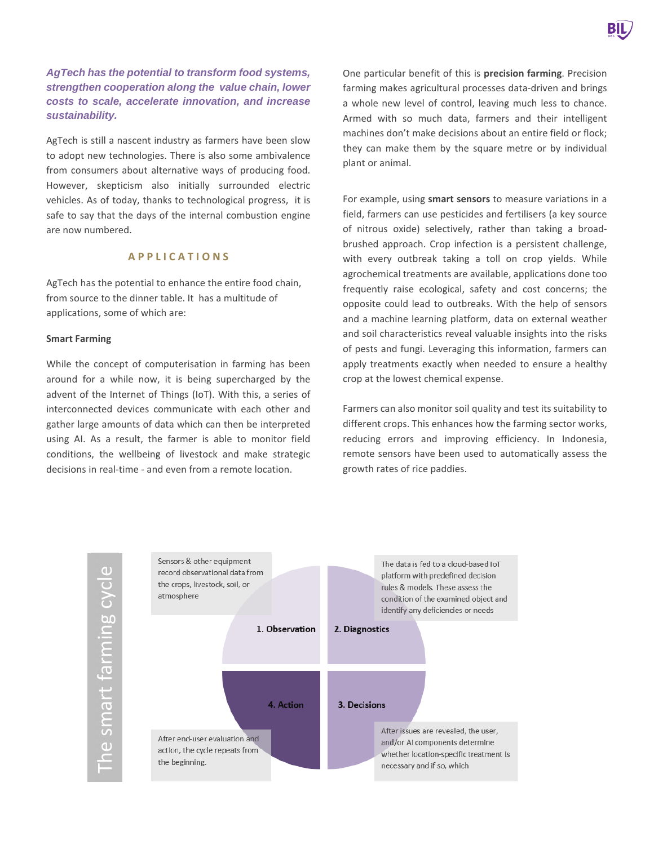# **AgTech has the potential to transform food systems, strengthen cooperation along the value chain, lower costs to scale, accelerate innovation, and increase sustainability.**

AgTech is still a nascent industry as farmers have been slow to adopt new technologies. There is also some ambivalence from consumers about alternative ways of producing food. However, skepticism also initially surrounded electric vehicles. As of today, thanks to technological progress, it is safe to say that the days of the internal combustion engine are now numbered.

## **A P P L I C A T I O N S**

AgTech has the potential to enhance the entire food chain, from source to the dinner table. It has a multitude of applications, some of which are:

## **Smart Farming**

While the concept of computerisation in farming has been around for a while now, it is being supercharged by the advent of the Internet of Things (IoT). With this, a series of interconnected devices communicate with each other and gather large amounts of data which can then be interpreted using AI. As a result, the farmer is able to monitor field conditions, the wellbeing of livestock and make strategic decisions in real-time - and even from a remote location.

One particular benefit of this is **precision farming**. Precision farming makes agricultural processes data-driven and brings a whole new level of control, leaving much less to chance. Armed with so much data, farmers and their intelligent machines don't make decisions about an entire field or flock; they can make them by the square metre or by individual plant or animal.

For example, using **smart sensors** to measure variations in a field, farmers can use pesticides and fertilisers (a key source of nitrous oxide) selectively, rather than taking a broadbrushed approach. Crop infection is a persistent challenge, with every outbreak taking a toll on crop yields. While agrochemical treatments are available, applications done too frequently raise ecological, safety and cost concerns; the opposite could lead to outbreaks. With the help of sensors and a machine learning platform, data on external weather and soil characteristics reveal valuable insights into the risks of pests and fungi. Leveraging this information, farmers can apply treatments exactly when needed to ensure a healthy crop at the lowest chemical expense.

Farmers can also monitor soil quality and test its suitability to different crops. This enhances how the farming sector works, reducing errors and improving efficiency. In Indonesia, remote sensors have been used to automatically assess the growth rates of rice paddies.

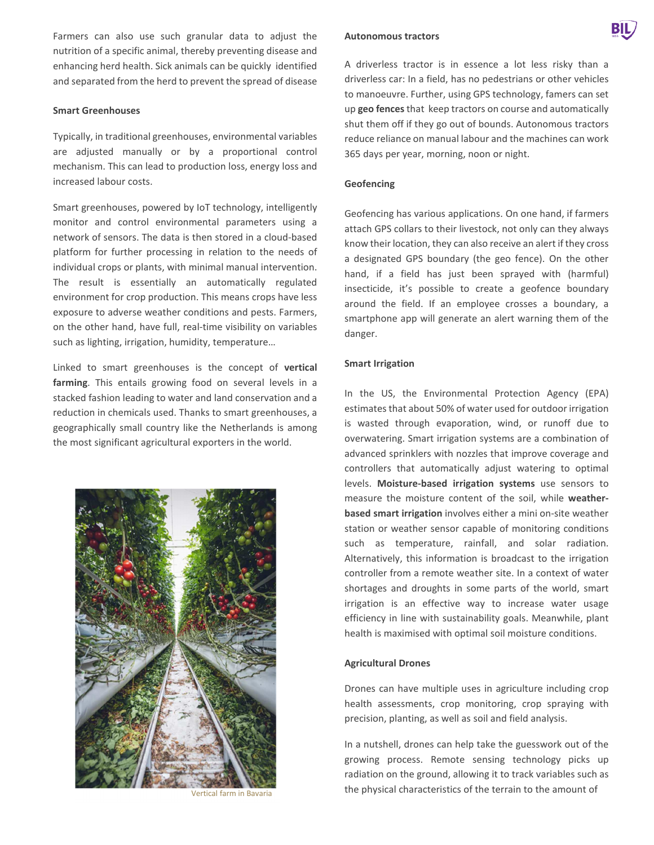Farmers can also use such granular data to adjust the nutrition of a specific animal, thereby preventing disease and enhancing herd health. Sick animals can be quickly identified and separated from the herd to prevent the spread of disease

#### **Smart Greenhouses**

Typically, in traditional greenhouses, environmental variables are adjusted manually or by a proportional control mechanism. This can lead to production loss, energy loss and increased labour costs.

Smart greenhouses, powered by IoT technology, intelligently monitor and control environmental parameters using a network of sensors. The data is then stored in a cloud-based platform for further processing in relation to the needs of individual crops or plants, with minimal manual intervention. The result is essentially an automatically regulated environment for crop production. This means crops have less exposure to adverse weather conditions and pests. Farmers, on the other hand, have full, real-time visibility on variables such as lighting, irrigation, humidity, temperature…

Linked to smart greenhouses is the concept of **vertical farming**. This entails growing food on several levels in a stacked fashion leading to water and land conservation and a reduction in chemicals used. Thanks to smart greenhouses, a geographically small country like the Netherlands is among the most significant agricultural exporters in the world.



#### **Autonomous tractors**

#### **Geofencing**

Geofencing has various applications. On one hand, if farmers attach GPS collars to their livestock, not only can they always know their location, they can also receive an alert if they cross a designated GPS boundary (the geo fence). On the other hand, if a field has just been sprayed with (harmful) insecticide, it's possible to create a geofence boundary around the field. If an employee crosses a boundary, a smartphone app will generate an alert warning them of the danger.

## **Smart Irrigation**

In the US, the Environmental Protection Agency (EPA) estimates that about 50% of water used for outdoor irrigation is wasted through evaporation, wind, or runoff due to overwatering. Smart irrigation systems are a combination of advanced sprinklers with nozzles that improve coverage and controllers that automatically adjust watering to optimal levels. **Moisture-based irrigation systems** use sensors to measure the moisture content of the soil, while **weatherbased smart irrigation** involves either a mini on-site weather station or weather sensor capable of monitoring conditions such as temperature, rainfall, and solar radiation. Alternatively, this information is broadcast to the irrigation controller from a remote weather site. In a context of water shortages and droughts in some parts of the world, smart irrigation is an effective way to increase water usage efficiency in line with sustainability goals. Meanwhile, plant health is maximised with optimal soil moisture conditions.

#### **Agricultural Drones**

Drones can have multiple uses in agriculture including crop health assessments, crop monitoring, crop spraying with precision, planting, as well as soil and field analysis.

In a nutshell, drones can help take the guesswork out of the growing process. Remote sensing technology picks up radiation on the ground, allowing it to track variables such as the physical characteristics of the terrain to the amount of Vertical farm in Bavaria

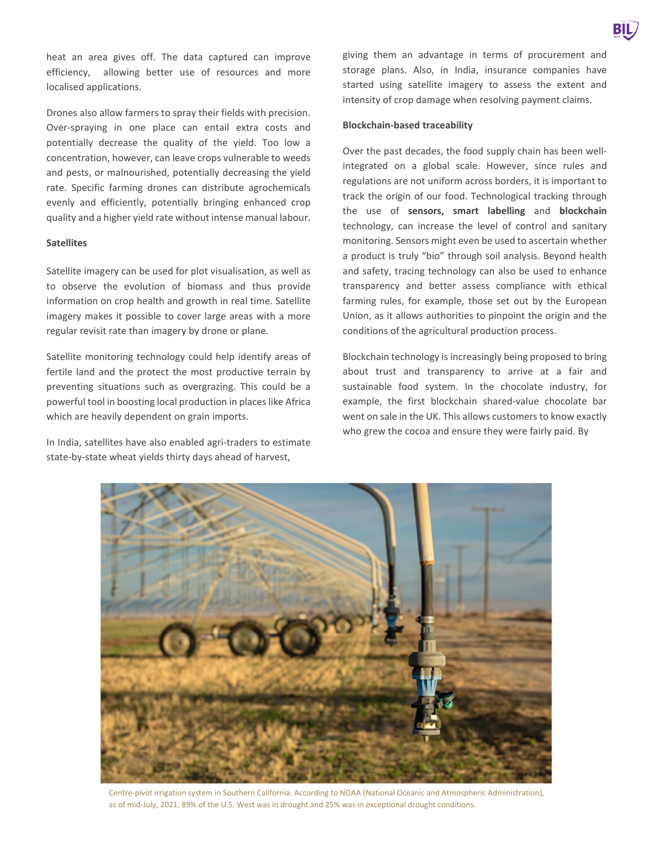heat an area gives off. The data captured can improve efficiency, allowing better use of resources and more localised applications.

Drones also allow farmers to spray their fields with precision. Over-spraying in one place can entail extra costs and potentially decrease the quality of the yield. Too low a concentration, however, can leave crops vulnerable to weeds and pests, or malnourished, potentially decreasing the yield rate. Specific farming drones can distribute agrochemicals evenly and efficiently, potentially bringing enhanced crop quality and a higher yield rate without intense manual labour.

#### **Satellites**

Satellite imagery can be used for plot visualisation, as well as to observe the evolution of biomass and thus provide information on crop health and growth in real time. Satellite imagery makes it possible to cover large areas with a more regular revisit rate than imagery by drone or plane.

Satellite monitoring technology could help identify areas of fertile land and the protect the most productive terrain by preventing situations such as overgrazing. This could be a powerful tool in boosting local production in places like Africa which are heavily dependent on grain imports.

In India, satellites have also enabled agri-traders to estimate state-by-state wheat yields thirty days ahead of harvest,

giving them an advantage in terms of procurement and storage plans. Also, in India, insurance companies have started using satellite imagery to assess the extent and intensity of crop damage when resolving payment claims.

#### **Blockchain-based traceability**

Over the past decades, the food supply chain has been wellintegrated on a global scale. However, since rules and regulations are not uniform across borders, it is important to track the origin of our food. Technological tracking through the use of **sensors, smart labelling** and **blockchain** technology, can increase the level of control and sanitary monitoring. Sensors might even be used to ascertain whether a product is truly "bio" through soil analysis. Beyond health and safety, tracing technology can also be used to enhance transparency and better assess compliance with ethical farming rules, for example, those set out by the European Union, as it allows authorities to pinpoint the origin and the conditions of the agricultural production process.

Blockchain technology is increasingly being proposed to bring about trust and transparency to arrive at a fair and sustainable food system. In the chocolate industry, for example, the first blockchain shared-value chocolate bar went on sale in the UK. This allows customers to know exactly who grew the cocoa and ensure they were fairly paid. By



Centre-pivot irrigation system in Southern California. According to NOAA (National Oceanic and Atmospheric Administration), as of mid-July, 2021, 89% of the U.S. West was in drought and 25% was in exceptional drought conditions.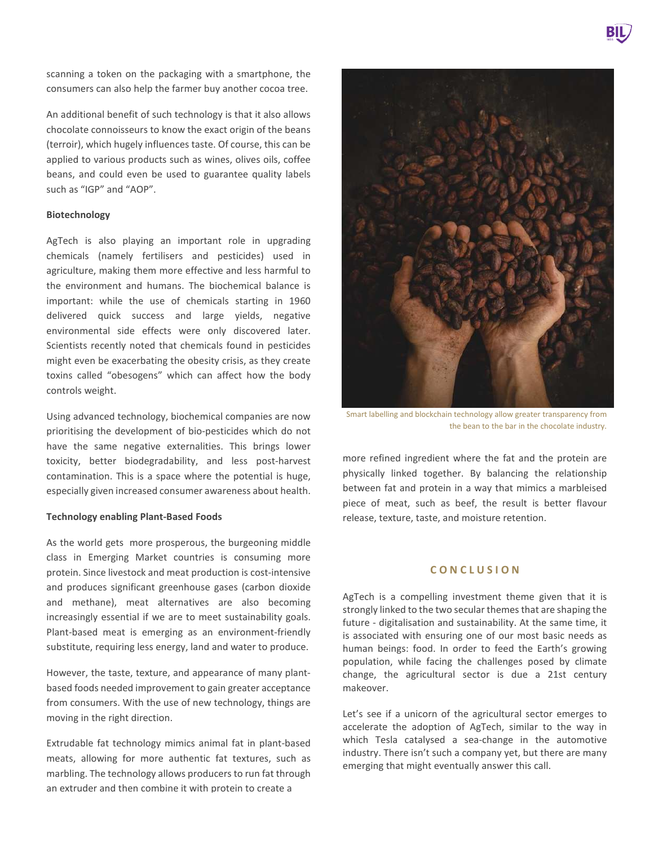scanning a token on the packaging with a smartphone, the consumers can also help the farmer buy another cocoa tree.

An additional benefit of such technology is that it also allows chocolate connoisseurs to know the exact origin of the beans (terroir), which hugely influences taste. Of course, this can be applied to various products such as wines, olives oils, coffee beans, and could even be used to guarantee quality labels such as "IGP" and "AOP".

## **Biotechnology**

beans, and could such as "IGP" and '<br> **Biotechnology**<br>
AgTech is also p<br>
chemicals (namel<br>
agriculture, making<br>
the environment a<br>
important: while<br>
delivered quick<br>
environmental sic<br>
Scientists recently<br>
might even be ex AgTech is also playing an important role in upgrading chemicals (namely fertilisers and pesticides) used in agriculture, making them more effective and less harmful to the environment and humans. The biochemical balance is important: while the use of chemicals starting in 1960 delivered quick success and large yields, negative environmental side effects were only discovered later. Scientists recently noted that chemicals found in pesticides might even be exacerbating the obesity crisis, as they create toxins called "obesogens" which can affect how the body controls weight.

Using advanced technology, biochemical companies are now prioritising the development of bio-pesticides which do not have the same negative externalities. This brings lower toxicity, better biodegradability, and less post-harvest contamination. This is a space where the potential is huge, especially given increased consumer awareness about health.

#### **Technology enabling Plant-Based Foods**

As the world gets more prosperous, the burgeoning middle class in Emerging Market countries is consuming more protein. Since livestock and meat production is cost-intensive and produces significant greenhouse gases (carbon dioxide and methane), meat alternatives are also becoming increasingly essential if we are to meet sustainability goals. Plant-based meat is emerging as an environment-friendly substitute, requiring less energy, land and water to produce.

However, the taste, texture, and appearance of many plantbased foods needed improvement to gain greater acceptance from consumers. With the use of new technology, things are moving in the right direction.

Extrudable fat technology mimics animal fat in plant-based meats, allowing for more authentic fat textures, such as marbling. The technology allows producers to run fat through an extruder and then combine it with protein to create a



Smart labelling and blockchain technology allow greater transparency from the bean to the bar in the chocolate industry.

more refined ingredient where the fat and the protein are physically linked together. By balancing the relationship between fat and protein in a way that mimics a marbleised piece of meat, such as beef, the result is better flavour release, texture, taste, and moisture retention.

### **C O N C L U S I O N**

AgTech is a compelling investment theme given that it is strongly linked to the two secular themes that are shaping the future - digitalisation and sustainability. At the same time, it is associated with ensuring one of our most basic needs as human beings: food. In order to feed the Earth's growing population, while facing the challenges posed by climate change, the agricultural sector is due a 21st century makeover.

Let's see if a unicorn of the agricultural sector emerges to accelerate the adoption of AgTech, similar to the way in which Tesla catalysed a sea-change in the automotive industry. There isn't such a company yet, but there are many emerging that might eventually answer this call.

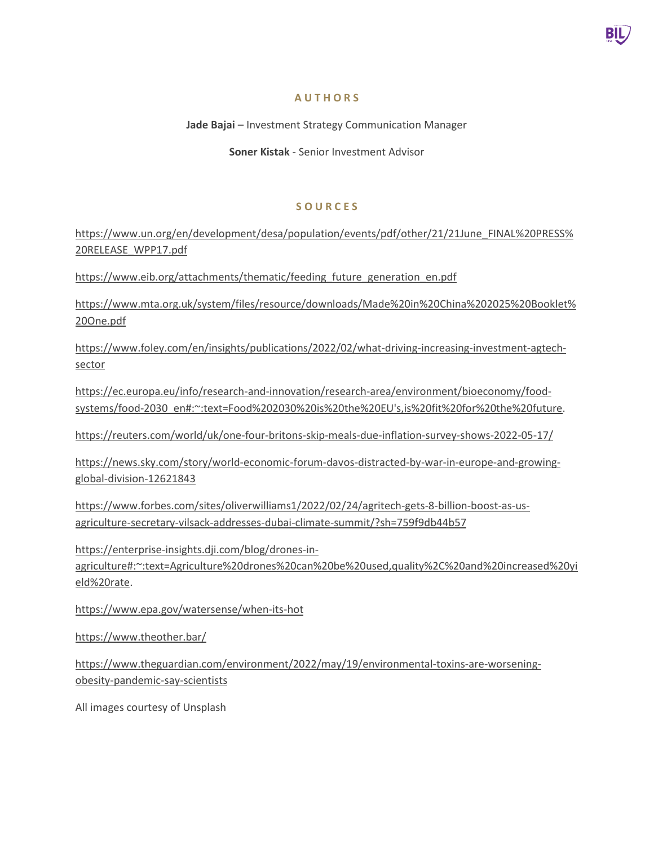

# **A U T H O R S**

**Jade Bajai** – Investment Strategy Communication Manager

**Soner Kistak** - Senior Investment Advisor

# **S O U R C E S**

https://www.un.org/en/development/desa/population/events/pdf/other/21/21June\_FINAL%20PRESS% 20RELEASE\_WPP17.pdf

https://www.eib.org/attachments/thematic/feeding\_future\_generation\_en.pdf

https://www.mta.org.uk/system/files/resource/downloads/Made%20in%20China%202025%20Booklet% 20One.pdf

https://www.foley.com/en/insights/publications/2022/02/what-driving-increasing-investment-agtechsector

https://ec.europa.eu/info/research-and-innovation/research-area/environment/bioeconomy/foodsystems/food-2030\_en#:~:text=Food%202030%20is%20the%20EU's,is%20fit%20for%20the%20future.

https://reuters.com/world/uk/one-four-britons-skip-meals-due-inflation-survey-shows-2022-05-17/

https://news.sky.com/story/world-economic-forum-davos-distracted-by-war-in-europe-and-growingglobal-division-12621843

https://www.forbes.com/sites/oliverwilliams1/2022/02/24/agritech-gets-8-billion-boost-as-usagriculture-secretary-vilsack-addresses-dubai-climate-summit/?sh=759f9db44b57

 $\frac{20}{10}$ https://enterprise-insights.dji.com/blog/drones-inagriculture#:~:text=Agriculture%20drones%20can%20be%20used,quality%2C%20and%20increased%20yi eld%20rate.

https://www.epa.gov/watersense/when-its-hot

https://www.theother.bar/

https://www.theguardian.com/environment/2022/may/19/environmental-toxins-are-worseningobesity-pandemic-say-scientists

All images courtesy of Unsplash